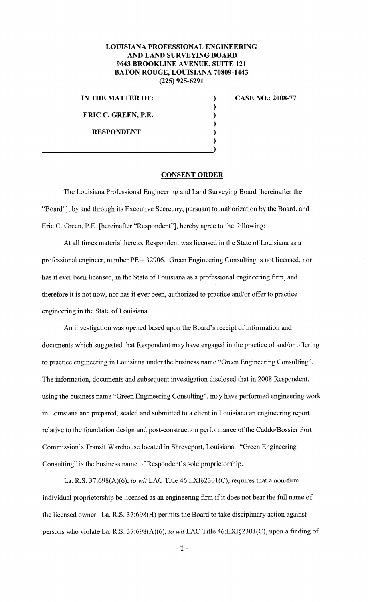## **LOUISIANA PROFESSIONAL ENGINEERING AND LAND SURVEYING BOARD 9643 BROOKLINE A VENUE, SUITE 121 BATON ROUGE, LOUISIANA 70809-1443 (225) 925-6291**

**IN THE MATTER OF:** 

**ERIC C. GREEN, P.E.** 

**RESPONDENT** 

**CASE NO.: 2008-77** 

## **CONSENT ORDER**

) ) ) ) ) )

The Louisiana Professional Engineering and Land Surveying Board [hereinafter the "Board"], by and through its Executive Secretary, pursuant to authorization by the Board, and Eric C. Green, P.E. [hereinafter "Respondent"], hereby agree to the following:

At all times material hereto, Respondent was licensed in the State of Louisiana as a professional engineer, number PE- 32906. Green Engineering Consulting is not licensed, nor has it ever been licensed, in the State of Louisiana as a professional engineering firm, and therefore it is not now, nor has it ever been, authorized to practice and/or offer to practice engineering in the State of Louisiana.

An investigation was opened based upon the Board's receipt of information and documents which suggested that Respondent may have engaged in the practice of and/or offering to practice engineering in Louisiana under the business name "Green Engineering Consulting". The information, documents and subsequent investigation disclosed that in 2008 Respondent, using the business name "Green Engineering Consulting", may have performed engineering work in Louisiana and prepared, sealed and submitted to a client in Louisiana an engineering report relative to the foundation design and post-construction performance of the Caddo/Bossier Port Commission's Transit Warehouse located in Shreveport, Louisiana. "Green Engineering Consulting" is the business name of Respondent's sole proprietorship.

La. R.S. 37:698(A)(6), *to wit* LAC Title 46:LXI§230l(C), requires that a non-firm individual proprietorship be licensed as an engineering firm if it does not bear the full name of the licensed owner. La. R.S. 37:698(H) permits the Board to take disciplinary action against persons who violate La. R.S. 37:698(A)(6), *to wit* LAC Title 46:LXI§2301(C), upon a finding of

**-1-**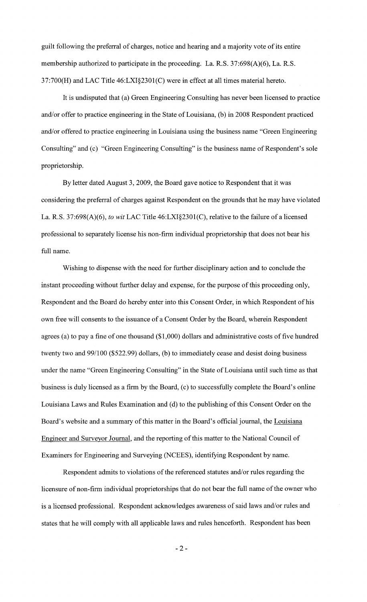guilt following the preferral of charges, notice and hearing and a majority vote of its entire membership authorized to participate in the proceeding. La. R.S. 37:698(A)(6), La. R.S. 37:700(H) and LAC Title 46:LXI§2301(C) were in effect at all times material hereto.

It is undisputed that (a) Green Engineering Consulting has never been licensed to practice and/or offer to practice engineering in the State of Louisiana, (b) in 2008 Respondent practiced and/or offered to practice engineering in Louisiana using the business name "Green Engineering Consulting" and (c) "Green Engineering Consulting" is the business name of Respondent's sole proprietorship.

By letter dated August 3, 2009, the Board gave notice to Respondent that it was considering the preferral of charges against Respondent on the grounds that he may have violated La. R.S. 37:698(A)(6), *to wit* LAC Title 46:LXI§2301(C), relative to the failure of a licensed professional to separately license his non-firm individual proprietorship that does not bear his full name.

Wishing to dispense with the need for further disciplinary action and to conclude the instant proceeding without further delay and expense, for the purpose of this proceeding only, Respondent and the Board do hereby enter into this Consent Order, in which Respondent of his own free will consents to the issuance of a Consent Order by the Board, wherein Respondent agrees (a) to pay a fine of one thousand (\$1,000) dollars and administrative costs of five hundred twenty two and 99/100 (\$522.99) dollars, (b) to immediately cease and desist doing business under the name "Green Engineering Consulting" in the State of Louisiana until such time as that business is duly licensed as a firm by the Board, (c) to successfully complete the Board's online Louisiana Laws and Rules Examination and (d) to the publishing of this Consent Order on the Board's website and a summary of this matter in the Board's official journal, the Louisiana Engineer and Surveyor Journal, and the reporting of this matter to the National Council of Examiners for Engineering and Surveying (NCEES), identifying Respondent by name.

Respondent admits to violations of the referenced statutes and/or rules regarding the licensure of non-firm individual proprietorships that do not bear the full name of the owner who is a licensed professional. Respondent acknowledges awareness of said laws and/or rules and states that he will comply with all applicable laws and rules henceforth. Respondent has been

-2-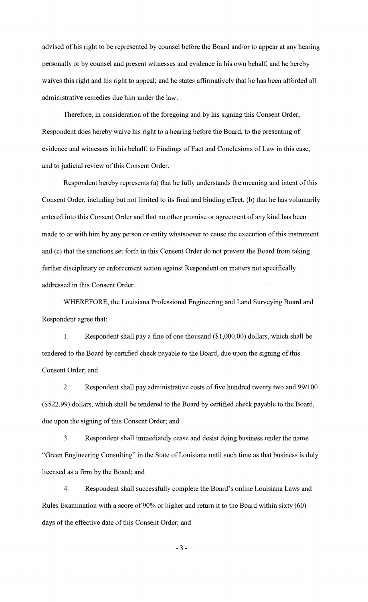advised of his right to be represented by counsel before the Board and/or to appear at any hearing personally or by counsel and present witnesses and evidence in his own behalf, and he hereby waives this right and his right to appeal; and he states affirmatively that he has been afforded all administrative remedies due him under the law.

Therefore, in consideration of the foregoing and by his signing this Consent Order, Respondent does hereby waive his right to a hearing before the Board, to the presenting of evidence and witnesses in his behalf, to Findings of Fact and Conclusions of Law in this case, and to judicial review of this Consent Order.

Respondent hereby represents (a) that he fully understands the meaning and intent of this Consent Order, including but not limited to its final and binding effect, (b) that he has voluntarily entered into this Consent Order and that no other promise or agreement of any kind has been made to or with him by any person or entity whatsoever to cause the execution of this instrument and (c) that the sanctions set forth in this Consent Order do not prevent the Board from taking further disciplinary or enforcement action against Respondent on matters not specifically addressed in this Consent Order.

WHEREFORE, the Louisiana Professional Engineering and Land Surveying Board and Respondent agree that:

1. Respondent shall pay a fine of one thousand (\$1 ,000.00) dollars, which shall be tendered to the Board by certified check payable to the Board, due upon the signing of this Consent Order; and

2. Respondent shall pay administrative costs of five hundred twenty two and 99/100 (\$522.99) dollars, which shall be tendered to the Board by certified check payable to the Board, due upon the signing of this Consent Order; and

3. Respondent shall immediately cease and desist doing business under the name "Green Engineering Consulting" in the State of Louisiana until such time as that business is duly licensed as a firm by the Board; and

4. Respondent shall successfully complete the Board's online Louisiana Laws and Rules Examination with a score of 90% or higher and return it to the Board within sixty (60) days of the effective date of this Consent Order; and

-3-